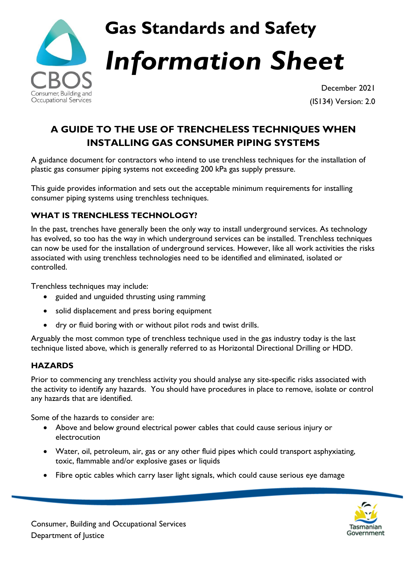

# **Gas Standards and Safety** *Information Sheet*

December 2021 (IS134) Version: 2.0

# **A GUIDE TO THE USE OF TRENCHELESS TECHNIQUES WHEN INSTALLING GAS CONSUMER PIPING SYSTEMS**

A guidance document for contractors who intend to use trenchless techniques for the installation of plastic gas consumer piping systems not exceeding 200 kPa gas supply pressure.

This guide provides information and sets out the acceptable minimum requirements for installing consumer piping systems using trenchless techniques.

## **WHAT IS TRENCHLESS TECHNOLOGY?**

In the past, trenches have generally been the only way to install underground services. As technology has evolved, so too has the way in which underground services can be installed. Trenchless techniques can now be used for the installation of underground services. However, like all work activities the risks associated with using trenchless technologies need to be identified and eliminated, isolated or controlled.

Trenchless techniques may include:

- guided and unguided thrusting using ramming
- solid displacement and press boring equipment
- dry or fluid boring with or without pilot rods and twist drills.

Arguably the most common type of trenchless technique used in the gas industry today is the last technique listed above, which is generally referred to as Horizontal Directional Drilling or HDD.

# **HAZARDS**

Prior to commencing any trenchless activity you should analyse any site-specific risks associated with the activity to identify any hazards. You should have procedures in place to remove, isolate or control any hazards that are identified.

Some of the hazards to consider are:

- Above and below ground electrical power cables that could cause serious injury or electrocution
- Water, oil, petroleum, air, gas or any other fluid pipes which could transport asphyxiating, toxic, flammable and/or explosive gases or liquids
- Fibre optic cables which carry laser light signals, which could cause serious eye damage

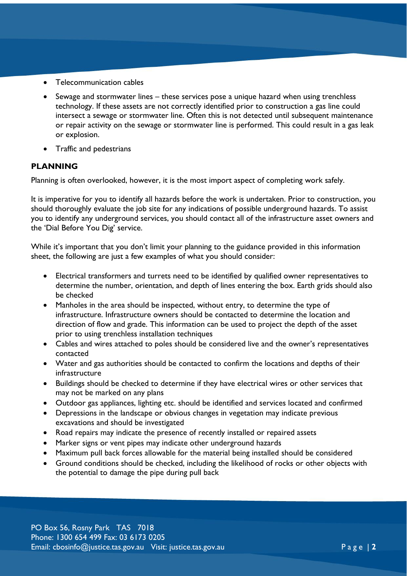- Telecommunication cables
- Sewage and stormwater lines these services pose a unique hazard when using trenchless technology. If these assets are not correctly identified prior to construction a gas line could intersect a sewage or stormwater line. Often this is not detected until subsequent maintenance or repair activity on the sewage or stormwater line is performed. This could result in a gas leak or explosion.
- Traffic and pedestrians

### **PLANNING**

Planning is often overlooked, however, it is the most import aspect of completing work safely.

It is imperative for you to identify all hazards before the work is undertaken. Prior to construction, you should thoroughly evaluate the job site for any indications of possible underground hazards. To assist you to identify any underground services, you should contact all of the infrastructure asset owners and the 'Dial Before You Dig' service.

While it's important that you don't limit your planning to the guidance provided in this information sheet, the following are just a few examples of what you should consider:

- Electrical transformers and turrets need to be identified by qualified owner representatives to determine the number, orientation, and depth of lines entering the box. Earth grids should also be checked
- Manholes in the area should be inspected, without entry, to determine the type of infrastructure. Infrastructure owners should be contacted to determine the location and direction of flow and grade. This information can be used to project the depth of the asset prior to using trenchless installation techniques
- Cables and wires attached to poles should be considered live and the owner's representatives contacted
- Water and gas authorities should be contacted to confirm the locations and depths of their infrastructure
- Buildings should be checked to determine if they have electrical wires or other services that may not be marked on any plans
- Outdoor gas appliances, lighting etc. should be identified and services located and confirmed
- Depressions in the landscape or obvious changes in vegetation may indicate previous excavations and should be investigated
- Road repairs may indicate the presence of recently installed or repaired assets
- Marker signs or vent pipes may indicate other underground hazards
- Maximum pull back forces allowable for the material being installed should be considered
- Ground conditions should be checked, including the likelihood of rocks or other objects with the potential to damage the pipe during pull back